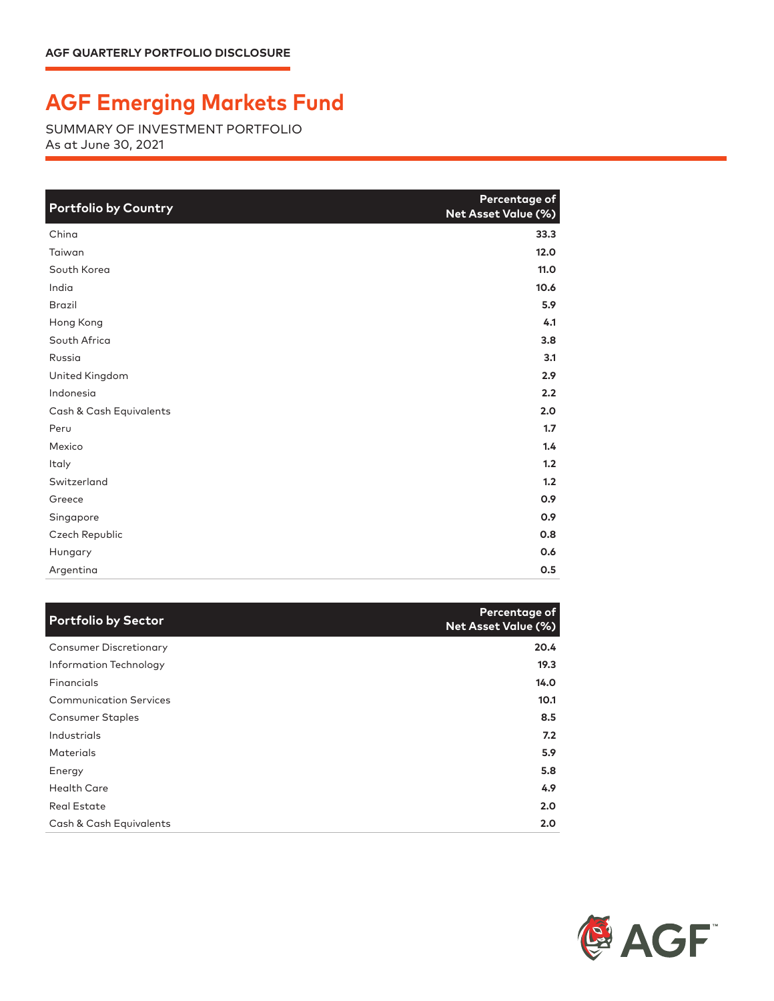## **AGF Emerging Markets Fund**

SUMMARY OF INVESTMENT PORTFOLIO As at June 30, 2021

| <b>Portfolio by Country</b> | Percentage of<br>Net Asset Value (%) |
|-----------------------------|--------------------------------------|
| China                       | 33.3                                 |
| Taiwan                      | 12.0                                 |
| South Korea                 | 11.0                                 |
| India                       | 10.6                                 |
| <b>Brazil</b>               | 5.9                                  |
| Hong Kong                   | 4.1                                  |
| South Africa                | 3.8                                  |
| Russia                      | 3.1                                  |
| United Kingdom              | 2.9                                  |
| Indonesia                   | 2.2                                  |
| Cash & Cash Equivalents     | 2.0                                  |
| Peru                        | 1.7                                  |
| Mexico                      | 1.4                                  |
| Italy                       | 1.2                                  |
| Switzerland                 | 1.2                                  |
| Greece                      | 0.9                                  |
| Singapore                   | 0.9                                  |
| Czech Republic              | 0.8                                  |
| Hungary                     | 0.6                                  |
| Argentina                   | 0.5                                  |

| <b>Portfolio by Sector</b>    | Percentage of<br>Net Asset Value (%) |
|-------------------------------|--------------------------------------|
| <b>Consumer Discretionary</b> | 20.4                                 |
| Information Technology        | 19.3                                 |
| Financials                    | 14.0                                 |
| <b>Communication Services</b> | 10.1                                 |
| Consumer Staples              | 8.5                                  |
| Industrials                   | 7.2                                  |
| <b>Materials</b>              | 5.9                                  |
| Energy                        | 5.8                                  |
| <b>Health Care</b>            | 4.9                                  |
| <b>Real Estate</b>            | 2.0                                  |
| Cash & Cash Equivalents       | 2.0 <sub>2</sub>                     |